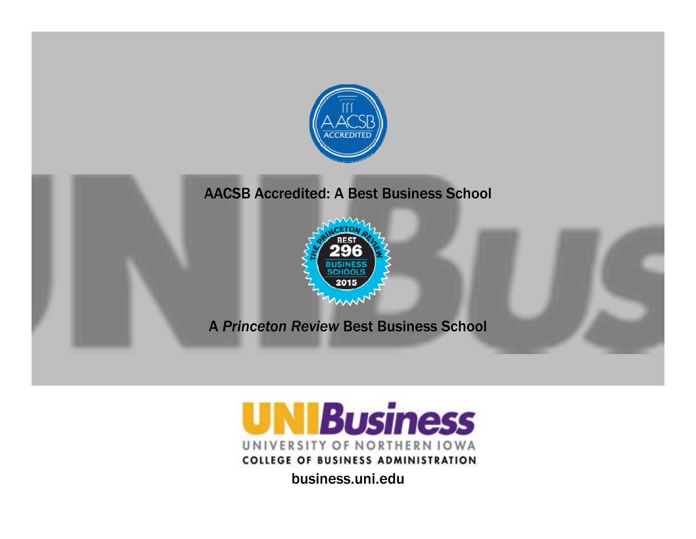

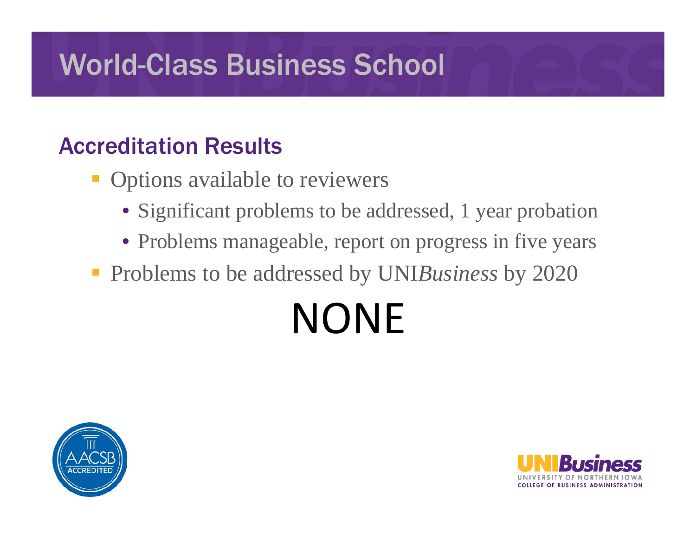#### Accreditation Results

- **STATE**  Options available to reviewers
	- Significant problems to be addressed, 1 year probation
	- Problems manageable, report on progress in five years

**Problems to be addressed by UNIBusiness by 2020** 

# NONE



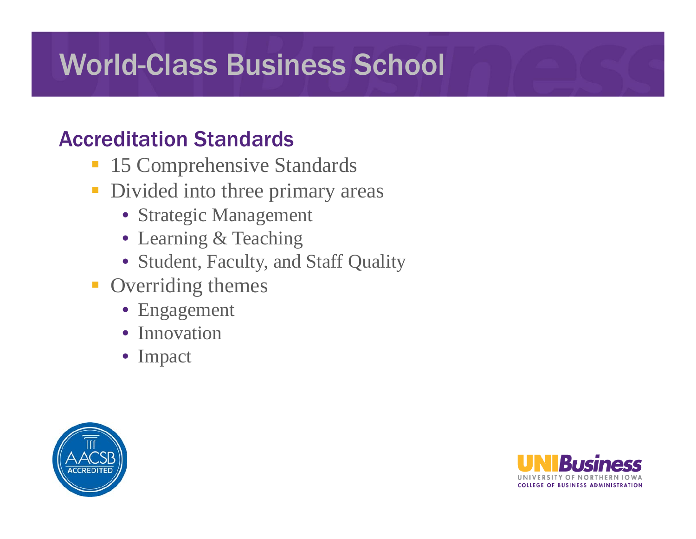#### Accreditation Standards

- $\mathcal{L}_{\mathcal{A}}$ 15 Comprehensive Standards
- **Divided into three primary areas** 
	- Strategic Management
	- Learning & Teaching
	- Student, Faculty, and Staff Quality
- **Overriding themes** 
	- Engagement
	- Innovation
	- Impact



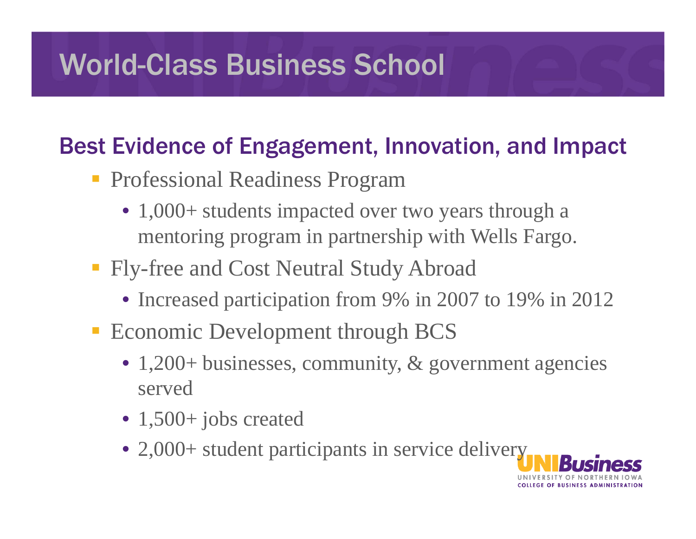#### Best Evidence of Engagement, Innovation, and Impact

- **Professional Readiness Program** 
	- 1,000+ students impacted over two years through a mentoring program in partnership with Wells Fargo.
- **Fly-free and Cost Neutral Study Abroad** 
	- Increased participation from 9% in 2007 to 19% in 2012
- **Exercise Exercise Development through BCS** 
	- 1,200+ businesses, community, & government agencies served
	- 1,500+ jobs created
	- 2,000+ student participants in service delivery

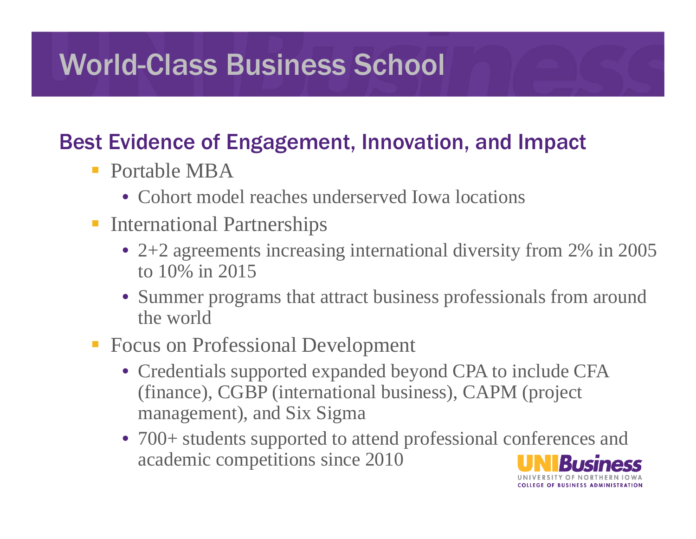#### Best Evidence of Engagement, Innovation, and Impact

- **Portable MBA** 
	- Cohort model reaches underserved Iowa locations
- **International Partnerships** 
	- 2+2 agreements increasing international diversity from 2% in 2005 to 10% in 2015
	- Summer programs that attract business professionals from around the world
- **Focus on Professional Development** 
	- Credentials supported expanded beyond CPA to include CFA (finance), CGBP (international business), CAPM (project management), and Six Sigma
	- 700+ students supported to attend professional conferences and academic competitions since 2010

OLLEGE OF BUSINESS ADMINISTRATION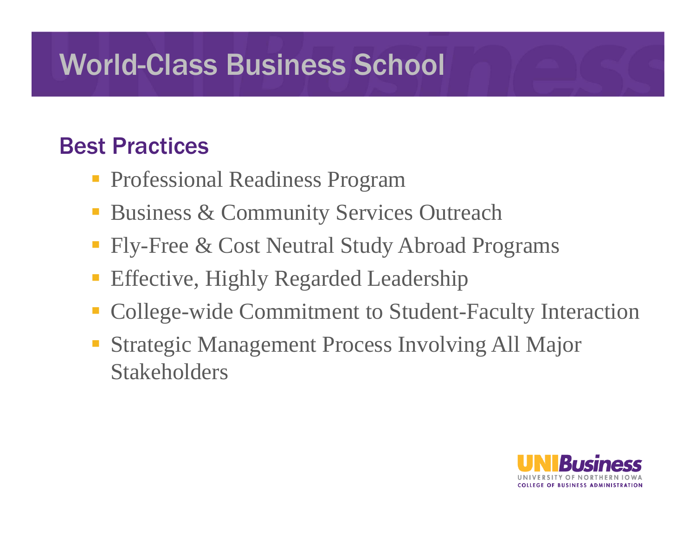#### Best Practices

- **Professional Readiness Program**
- **STATE** Business & Community Services Outreach
- Fly-Free & Cost Neutral Study Abroad Programs
- Effective, Highly Regarded Leadership
- College-wide Commitment to Student-Faculty Interaction
- Strategic Management Process Involving All Major Stakeholders